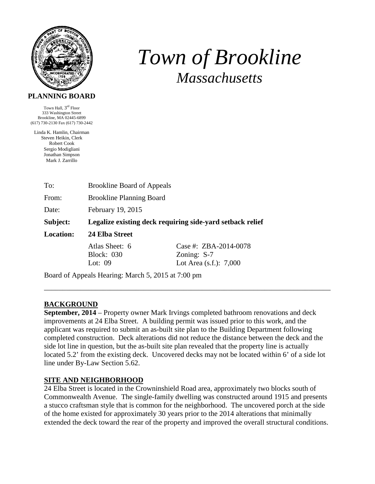

# *Town of Brookline Massachusetts*

#### **PLANNING BOARD**

Town Hall, 3rd Floor 333 Washington Street Brookline, MA 02445-6899 (617) 730-2130 Fax (617) 730-2442

Linda K. Hamlin, Chairman Steven Heikin, Clerk Robert Cook Sergio Modigliani Jonathan Simpson Mark J. Zarrillo

| To:                                                | <b>Brookline Board of Appeals</b>                         |                           |  |  |
|----------------------------------------------------|-----------------------------------------------------------|---------------------------|--|--|
| From:                                              | <b>Brookline Planning Board</b>                           |                           |  |  |
| Date:                                              | February 19, 2015                                         |                           |  |  |
| Subject:                                           | Legalize existing deck requiring side-yard setback relief |                           |  |  |
| <b>Location:</b>                                   | 24 Elba Street                                            |                           |  |  |
|                                                    | Atlas Sheet: 6                                            | Case #: ZBA-2014-0078     |  |  |
|                                                    | <b>Block: 030</b>                                         | Zoning: S-7               |  |  |
|                                                    | Lot: $09$                                                 | Lot Area $(s.f.)$ : 7,000 |  |  |
| Board of Appeals Hearing: March 5, 2015 at 7:00 pm |                                                           |                           |  |  |

# **BACKGROUND**

**September, 2014** – Property owner Mark Irvings completed bathroom renovations and deck improvements at 24 Elba Street. A building permit was issued prior to this work, and the applicant was required to submit an as-built site plan to the Building Department following completed construction. Deck alterations did not reduce the distance between the deck and the side lot line in question, but the as-built site plan revealed that the property line is actually located 5.2' from the existing deck. Uncovered decks may not be located within 6' of a side lot line under By-Law Section 5.62.

\_\_\_\_\_\_\_\_\_\_\_\_\_\_\_\_\_\_\_\_\_\_\_\_\_\_\_\_\_\_\_\_\_\_\_\_\_\_\_\_\_\_\_\_\_\_\_\_\_\_\_\_\_\_\_\_\_\_\_\_\_\_\_\_\_\_\_\_\_\_\_\_\_\_\_\_\_\_

# **SITE AND NEIGHBORHOOD**

24 Elba Street is located in the Crowninshield Road area, approximately two blocks south of Commonwealth Avenue. The single-family dwelling was constructed around 1915 and presents a stucco craftsman style that is common for the neighborhood. The uncovered porch at the side of the home existed for approximately 30 years prior to the 2014 alterations that minimally extended the deck toward the rear of the property and improved the overall structural conditions.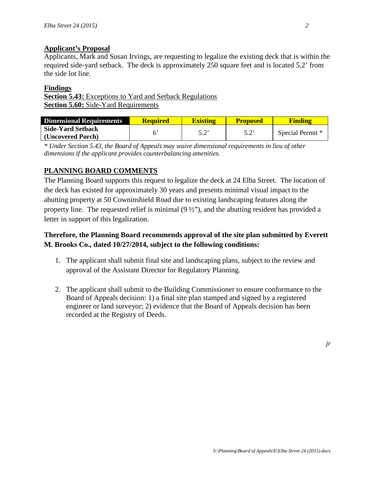#### **Applicant's Proposal**

Applicants, Mark and Susan Irvings, are requesting to legalize the existing deck that is within the required side-yard setback. The deck is approximately 250 square feet and is located 5.2' from the side lot line.

#### **Findings**

**Section 5.43:** Exceptions to Yard and Setback Regulations **Section 5.60:** Side-Yard Requirements

| Dimensional Requirements | <b>Required</b> | <b>Existing</b> | <b>Proposed</b> | <b>Finding</b>   |
|--------------------------|-----------------|-----------------|-----------------|------------------|
| <b>Side-Yard Setback</b> |                 | د ح             | ς つ'            | Special Permit * |
| (Uncovered Porch)        |                 |                 |                 |                  |

*\* Under Section 5.43, the Board of Appeals may waive dimensional requirements in lieu of other dimensions if the applicant provides counterbalancing amenities.* 

# **PLANNING BOARD COMMENTS**

The Planning Board supports this request to legalize the deck at 24 Elba Street. The location of the deck has existed for approximately 30 years and presents minimal visual impact to the abutting property at 50 Cowninshield Road due to existing landscaping features along the property line. The requested relief is minimal  $(9 \frac{1}{2})$ , and the abutting resident has provided a letter in support of this legalization.

# **Therefore, the Planning Board recommends approval of the site plan submitted by Everett M. Brooks Co., dated 10/27/2014, subject to the following conditions:**

- 1. The applicant shall submit final site and landscaping plans, subject to the review and approval of the Assistant Director for Regulatory Planning.
- 2. The applicant shall submit to the Building Commissioner to ensure conformance to the Board of Appeals decision: 1) a final site plan stamped and signed by a registered engineer or land surveyor; 2) evidence that the Board of Appeals decision has been recorded at the Registry of Deeds.